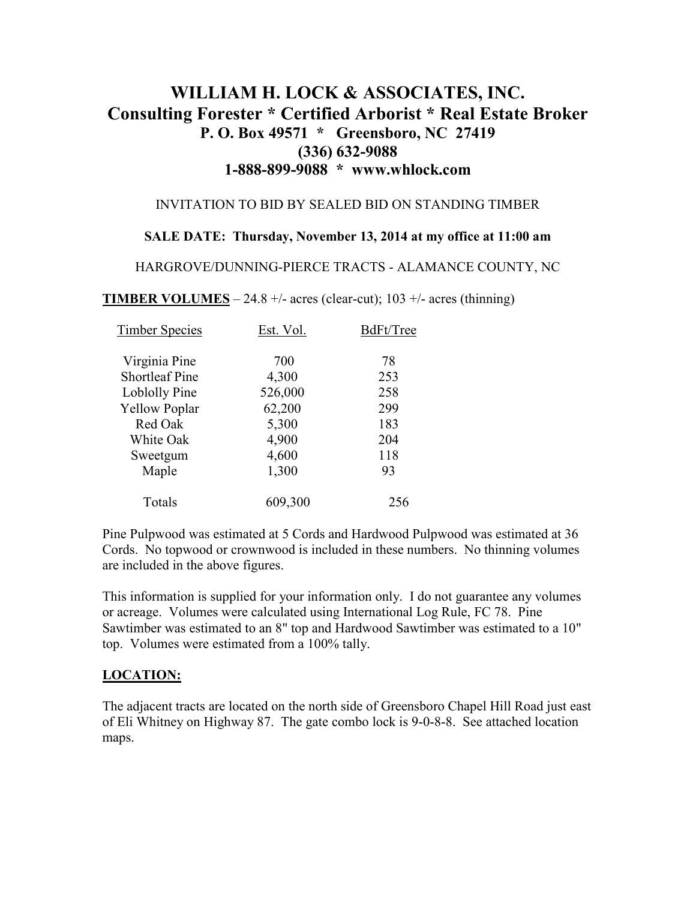# **WILLIAM H. LOCK & ASSOCIATES, INC. Consulting Forester \* Certified Arborist \* Real Estate Broker P. O. Box 49571 \* Greensboro, NC 27419 (336) 632-9088 1-888-899-9088 \* www.whlock.com**

#### INVITATION TO BID BY SEALED BID ON STANDING TIMBER

### **SALE DATE: Thursday, November 13, 2014 at my office at 11:00 am**

HARGROVE/DUNNING-PIERCE TRACTS - ALAMANCE COUNTY, NC

**TIMBER VOLUMES** – 24.8 +/- acres (clear-cut); 103 +/- acres (thinning)

| <b>Timber Species</b> | Est. Vol. | BdFt/Tree |
|-----------------------|-----------|-----------|
| Virginia Pine         | 700       | 78        |
| <b>Shortleaf Pine</b> | 4,300     | 253       |
| Loblolly Pine         | 526,000   | 258       |
| <b>Yellow Poplar</b>  | 62,200    | 299       |
| Red Oak               | 5,300     | 183       |
| White Oak             | 4,900     | 204       |
| Sweetgum              | 4,600     | 118       |
| Maple                 | 1,300     | 93        |
| Totals                | 609,300   | 256       |

Pine Pulpwood was estimated at 5 Cords and Hardwood Pulpwood was estimated at 36 Cords. No topwood or crownwood is included in these numbers. No thinning volumes are included in the above figures.

This information is supplied for your information only. I do not guarantee any volumes or acreage. Volumes were calculated using International Log Rule, FC 78. Pine Sawtimber was estimated to an 8" top and Hardwood Sawtimber was estimated to a 10" top. Volumes were estimated from a 100% tally.

### **LOCATION:**

The adjacent tracts are located on the north side of Greensboro Chapel Hill Road just east of Eli Whitney on Highway 87. The gate combo lock is 9-0-8-8. See attached location maps.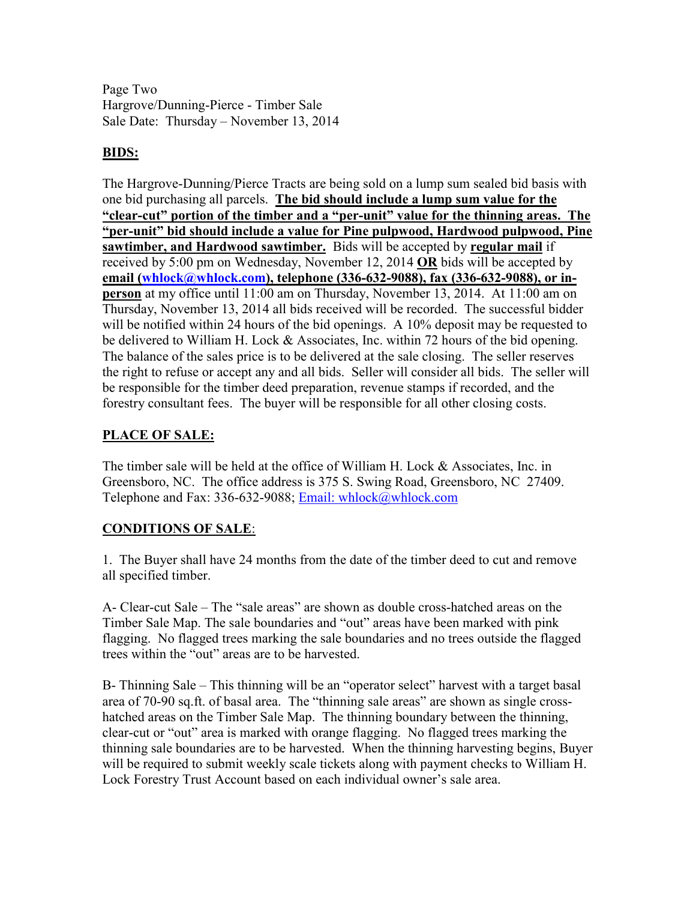Page Two Hargrove/Dunning-Pierce - Timber Sale Sale Date: Thursday – November 13, 2014

## **BIDS:**

The Hargrove-Dunning/Pierce Tracts are being sold on a lump sum sealed bid basis with one bid purchasing all parcels. **The bid should include a lump sum value for the "clear-cut" portion of the timber and a "per-unit" value for the thinning areas. The "per-unit" bid should include a value for Pine pulpwood, Hardwood pulpwood, Pine sawtimber, and Hardwood sawtimber.** Bids will be accepted by **regular mail** if received by 5:00 pm on Wednesday, November 12, 2014 **OR** bids will be accepted by email (whlock@whlock.com), telephone (336-632-9088), fax (336-632-9088), or in**person** at my office until 11:00 am on Thursday, November 13, 2014. At 11:00 am on Thursday, November 13, 2014 all bids received will be recorded. The successful bidder will be notified within 24 hours of the bid openings. A 10% deposit may be requested to be delivered to William H. Lock & Associates, Inc. within 72 hours of the bid opening. The balance of the sales price is to be delivered at the sale closing. The seller reserves the right to refuse or accept any and all bids. Seller will consider all bids. The seller will be responsible for the timber deed preparation, revenue stamps if recorded, and the forestry consultant fees. The buyer will be responsible for all other closing costs.

# **PLACE OF SALE:**

The timber sale will be held at the office of William H. Lock & Associates, Inc. in Greensboro, NC. The office address is 375 S. Swing Road, Greensboro, NC 27409. Telephone and Fax: 336-632-9088; Email: whlock@whlock.com

### **CONDITIONS OF SALE**:

1. The Buyer shall have 24 months from the date of the timber deed to cut and remove all specified timber.

A- Clear-cut Sale – The "sale areas" are shown as double cross-hatched areas on the Timber Sale Map. The sale boundaries and "out" areas have been marked with pink flagging. No flagged trees marking the sale boundaries and no trees outside the flagged trees within the "out" areas are to be harvested.

B- Thinning Sale – This thinning will be an "operator select" harvest with a target basal area of 70-90 sq.ft. of basal area. The "thinning sale areas" are shown as single crosshatched areas on the Timber Sale Map. The thinning boundary between the thinning, clear-cut or "out" area is marked with orange flagging. No flagged trees marking the thinning sale boundaries are to be harvested. When the thinning harvesting begins, Buyer will be required to submit weekly scale tickets along with payment checks to William H. Lock Forestry Trust Account based on each individual owner's sale area.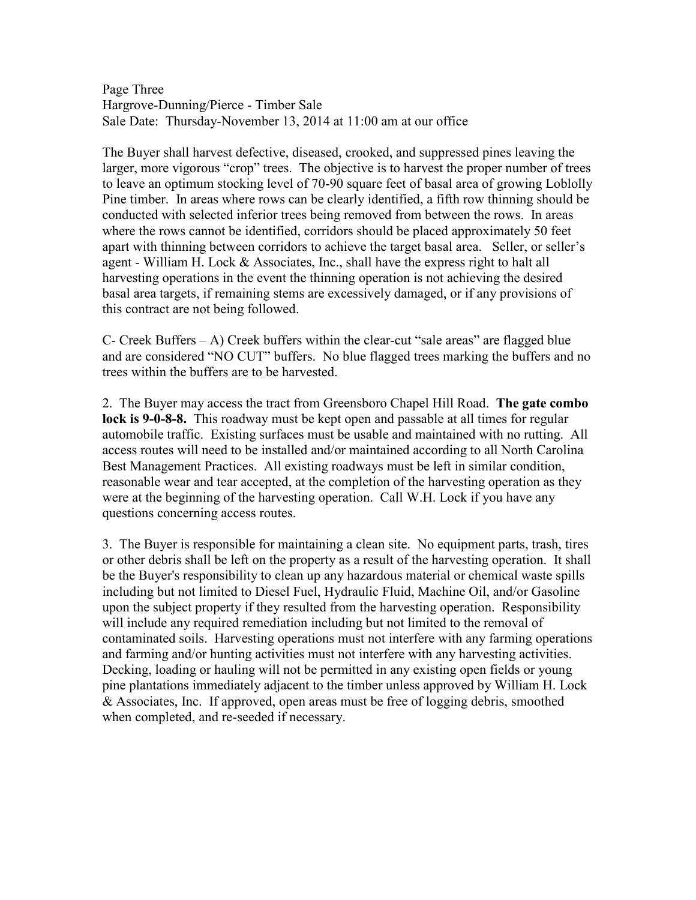Page Three Hargrove-Dunning/Pierce - Timber Sale Sale Date: Thursday-November 13, 2014 at 11:00 am at our office

The Buyer shall harvest defective, diseased, crooked, and suppressed pines leaving the larger, more vigorous "crop" trees. The objective is to harvest the proper number of trees to leave an optimum stocking level of 70-90 square feet of basal area of growing Loblolly Pine timber. In areas where rows can be clearly identified, a fifth row thinning should be conducted with selected inferior trees being removed from between the rows. In areas where the rows cannot be identified, corridors should be placed approximately 50 feet apart with thinning between corridors to achieve the target basal area. Seller, or seller's agent - William H. Lock & Associates, Inc., shall have the express right to halt all harvesting operations in the event the thinning operation is not achieving the desired basal area targets, if remaining stems are excessively damaged, or if any provisions of this contract are not being followed.

C- Creek Buffers – A) Creek buffers within the clear-cut "sale areas" are flagged blue and are considered "NO CUT" buffers. No blue flagged trees marking the buffers and no trees within the buffers are to be harvested.

2. The Buyer may access the tract from Greensboro Chapel Hill Road. **The gate combo lock is 9-0-8-8.** This roadway must be kept open and passable at all times for regular automobile traffic. Existing surfaces must be usable and maintained with no rutting. All access routes will need to be installed and/or maintained according to all North Carolina Best Management Practices. All existing roadways must be left in similar condition, reasonable wear and tear accepted, at the completion of the harvesting operation as they were at the beginning of the harvesting operation. Call W.H. Lock if you have any questions concerning access routes.

3. The Buyer is responsible for maintaining a clean site. No equipment parts, trash, tires or other debris shall be left on the property as a result of the harvesting operation. It shall be the Buyer's responsibility to clean up any hazardous material or chemical waste spills including but not limited to Diesel Fuel, Hydraulic Fluid, Machine Oil, and/or Gasoline upon the subject property if they resulted from the harvesting operation. Responsibility will include any required remediation including but not limited to the removal of contaminated soils. Harvesting operations must not interfere with any farming operations and farming and/or hunting activities must not interfere with any harvesting activities. Decking, loading or hauling will not be permitted in any existing open fields or young pine plantations immediately adjacent to the timber unless approved by William H. Lock & Associates, Inc. If approved, open areas must be free of logging debris, smoothed when completed, and re-seeded if necessary.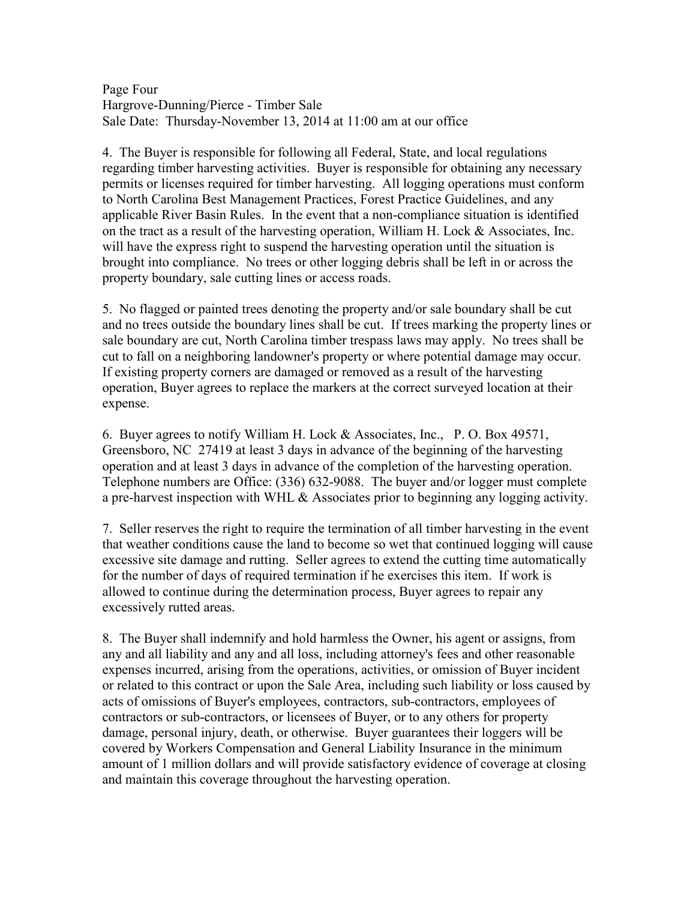Page Four Hargrove-Dunning/Pierce - Timber Sale Sale Date: Thursday-November 13, 2014 at 11:00 am at our office

4. The Buyer is responsible for following all Federal, State, and local regulations regarding timber harvesting activities. Buyer is responsible for obtaining any necessary permits or licenses required for timber harvesting. All logging operations must conform to North Carolina Best Management Practices, Forest Practice Guidelines, and any applicable River Basin Rules. In the event that a non-compliance situation is identified on the tract as a result of the harvesting operation, William H. Lock  $\&$  Associates, Inc. will have the express right to suspend the harvesting operation until the situation is brought into compliance. No trees or other logging debris shall be left in or across the property boundary, sale cutting lines or access roads.

5. No flagged or painted trees denoting the property and/or sale boundary shall be cut and no trees outside the boundary lines shall be cut. If trees marking the property lines or sale boundary are cut, North Carolina timber trespass laws may apply. No trees shall be cut to fall on a neighboring landowner's property or where potential damage may occur. If existing property corners are damaged or removed as a result of the harvesting operation, Buyer agrees to replace the markers at the correct surveyed location at their expense.

6. Buyer agrees to notify William H. Lock & Associates, Inc., P. O. Box 49571, Greensboro, NC 27419 at least 3 days in advance of the beginning of the harvesting operation and at least 3 days in advance of the completion of the harvesting operation. Telephone numbers are Office: (336) 632-9088. The buyer and/or logger must complete a pre-harvest inspection with WHL  $\&$  Associates prior to beginning any logging activity.

7. Seller reserves the right to require the termination of all timber harvesting in the event that weather conditions cause the land to become so wet that continued logging will cause excessive site damage and rutting. Seller agrees to extend the cutting time automatically for the number of days of required termination if he exercises this item. If work is allowed to continue during the determination process, Buyer agrees to repair any excessively rutted areas.

8. The Buyer shall indemnify and hold harmless the Owner, his agent or assigns, from any and all liability and any and all loss, including attorney's fees and other reasonable expenses incurred, arising from the operations, activities, or omission of Buyer incident or related to this contract or upon the Sale Area, including such liability or loss caused by acts of omissions of Buyer's employees, contractors, sub-contractors, employees of contractors or sub-contractors, or licensees of Buyer, or to any others for property damage, personal injury, death, or otherwise. Buyer guarantees their loggers will be covered by Workers Compensation and General Liability Insurance in the minimum amount of 1 million dollars and will provide satisfactory evidence of coverage at closing and maintain this coverage throughout the harvesting operation.